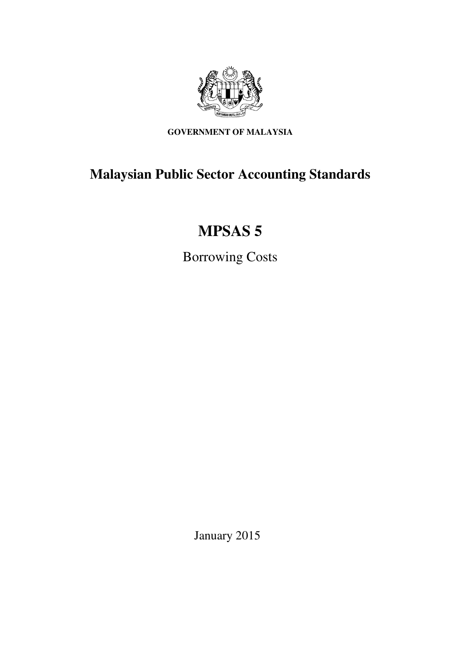

**GOVERNMENT OF MALAYSIA** 

## **Malaysian Public Sector Accounting Standards**

# **MPSAS 5**

Borrowing Costs

January 2015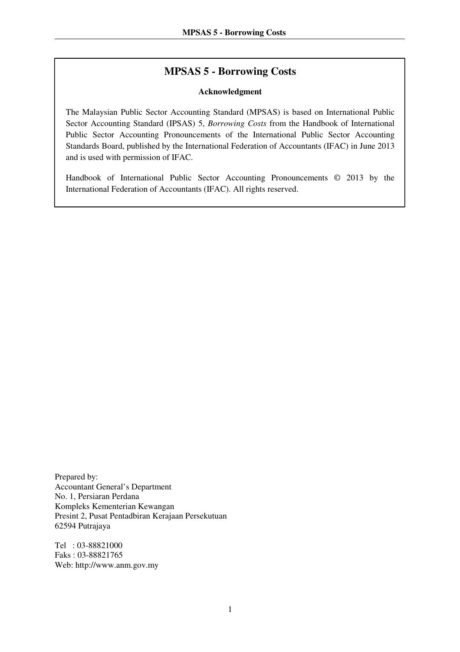## **MPSAS 5 - Borrowing Costs**

#### **Acknowledgment**

The Malaysian Public Sector Accounting Standard (MPSAS) is based on International Public Sector Accounting Standard (IPSAS) 5, *Borrowing Costs* from the Handbook of International Public Sector Accounting Pronouncements of the International Public Sector Accounting Standards Board, published by the International Federation of Accountants (IFAC) in June 2013 and is used with permission of IFAC.

Handbook of International Public Sector Accounting Pronouncements © 2013 by the International Federation of Accountants (IFAC). All rights reserved.

Prepared by: Accountant General's Department No. 1, Persiaran Perdana Kompleks Kementerian Kewangan Presint 2, Pusat Pentadbiran Kerajaan Persekutuan 62594 Putrajaya

Tel : 03-88821000 Faks : 03-88821765 Web: http://www.anm.gov.my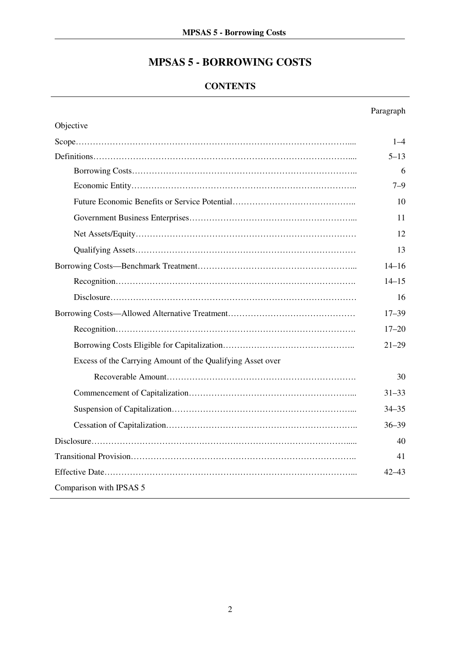## **MPSAS 5 - BORROWING COSTS**

## **CONTENTS**

## Paragraph

| Objective                                                  |           |
|------------------------------------------------------------|-----------|
|                                                            | $1 - 4$   |
|                                                            | $5 - 13$  |
|                                                            | 6         |
|                                                            | $7 - 9$   |
|                                                            | 10        |
|                                                            | 11        |
|                                                            | 12        |
|                                                            | 13        |
|                                                            | $14 - 16$ |
|                                                            | $14 - 15$ |
|                                                            | 16        |
|                                                            | $17 - 39$ |
|                                                            | $17 - 20$ |
|                                                            | $21 - 29$ |
| Excess of the Carrying Amount of the Qualifying Asset over |           |
|                                                            | 30        |
|                                                            | $31 - 33$ |
|                                                            | $34 - 35$ |
|                                                            | $36 - 39$ |
|                                                            | 40        |
|                                                            | 41        |
|                                                            | $42 - 43$ |
| Comparison with IPSAS 5                                    |           |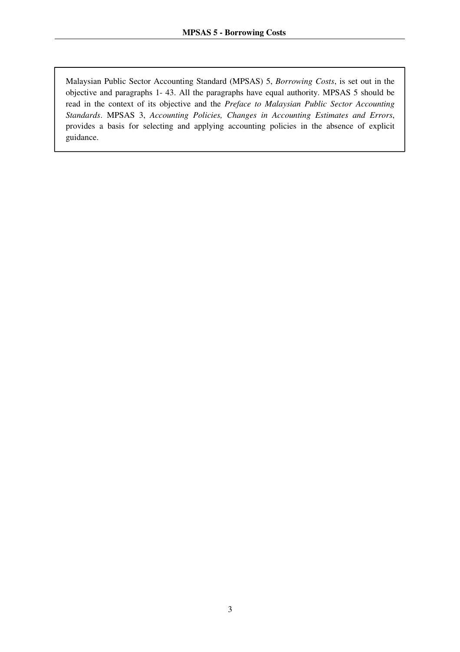Malaysian Public Sector Accounting Standard (MPSAS) 5, *Borrowing Costs*, is set out in the objective and paragraphs 1- 43. All the paragraphs have equal authority. MPSAS 5 should be read in the context of its objective and the *Preface to Malaysian Public Sector Accounting Standards*. MPSAS 3, *Accounting Policies, Changes in Accounting Estimates and Errors*, provides a basis for selecting and applying accounting policies in the absence of explicit guidance.

 $\overline{a}$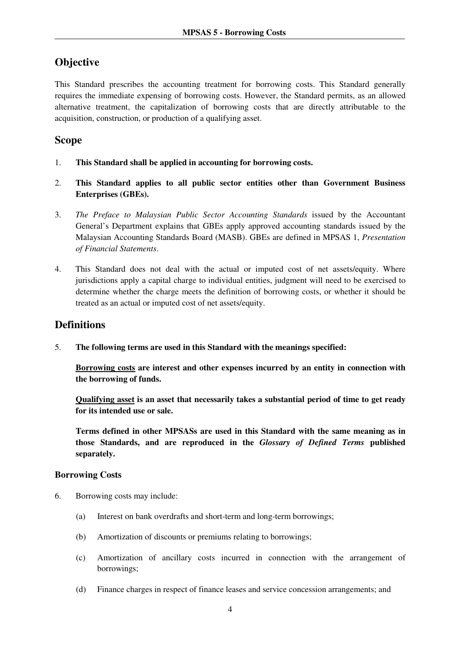## **Objective**

This Standard prescribes the accounting treatment for borrowing costs. This Standard generally requires the immediate expensing of borrowing costs. However, the Standard permits, as an allowed alternative treatment, the capitalization of borrowing costs that are directly attributable to the acquisition, construction, or production of a qualifying asset.

### **Scope**

- 1. **This Standard shall be applied in accounting for borrowing costs.**
- 2. **This Standard applies to all public sector entities other than Government Business Enterprises (GBEs).**
- 3. *The Preface to Malaysian Public Sector Accounting Standards* issued by the Accountant General's Department explains that GBEs apply approved accounting standards issued by the Malaysian Accounting Standards Board (MASB). GBEs are defined in MPSAS 1, *Presentation of Financial Statements*.
- 4. This Standard does not deal with the actual or imputed cost of net assets/equity. Where jurisdictions apply a capital charge to individual entities, judgment will need to be exercised to determine whether the charge meets the definition of borrowing costs, or whether it should be treated as an actual or imputed cost of net assets/equity.

#### **Definitions**

5. **The following terms are used in this Standard with the meanings specified:** 

**Borrowing costs are interest and other expenses incurred by an entity in connection with the borrowing of funds.** 

**Qualifying asset is an asset that necessarily takes a substantial period of time to get ready for its intended use or sale.** 

**Terms defined in other MPSASs are used in this Standard with the same meaning as in those Standards, and are reproduced in the** *Glossary of Defined Terms* **published separately.**

#### **Borrowing Costs**

- 6. Borrowing costs may include:
	- (a) Interest on bank overdrafts and short-term and long-term borrowings;
	- (b) Amortization of discounts or premiums relating to borrowings;
	- (c) Amortization of ancillary costs incurred in connection with the arrangement of borrowings;
	- (d) Finance charges in respect of finance leases and service concession arrangements; and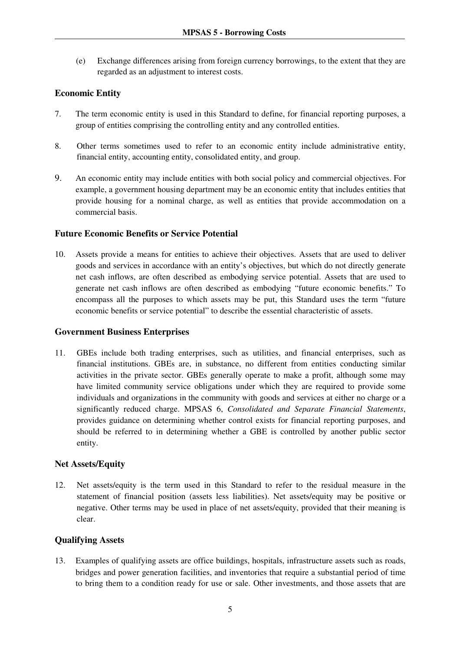(e) Exchange differences arising from foreign currency borrowings, to the extent that they are regarded as an adjustment to interest costs.

#### **Economic Entity**

- 7. The term economic entity is used in this Standard to define, for financial reporting purposes, a group of entities comprising the controlling entity and any controlled entities.
- 8. Other terms sometimes used to refer to an economic entity include administrative entity, financial entity, accounting entity, consolidated entity, and group.
- 9. An economic entity may include entities with both social policy and commercial objectives. For example, a government housing department may be an economic entity that includes entities that provide housing for a nominal charge, as well as entities that provide accommodation on a commercial basis.

#### **Future Economic Benefits or Service Potential**

10. Assets provide a means for entities to achieve their objectives. Assets that are used to deliver goods and services in accordance with an entity's objectives, but which do not directly generate net cash inflows, are often described as embodying service potential. Assets that are used to generate net cash inflows are often described as embodying "future economic benefits." To encompass all the purposes to which assets may be put, this Standard uses the term "future economic benefits or service potential" to describe the essential characteristic of assets.

#### **Government Business Enterprises**

11. GBEs include both trading enterprises, such as utilities, and financial enterprises, such as financial institutions. GBEs are, in substance, no different from entities conducting similar activities in the private sector. GBEs generally operate to make a profit, although some may have limited community service obligations under which they are required to provide some individuals and organizations in the community with goods and services at either no charge or a significantly reduced charge. MPSAS 6, *Consolidated and Separate Financial Statements*, provides guidance on determining whether control exists for financial reporting purposes, and should be referred to in determining whether a GBE is controlled by another public sector entity.

#### **Net Assets/Equity**

12. Net assets/equity is the term used in this Standard to refer to the residual measure in the statement of financial position (assets less liabilities). Net assets/equity may be positive or negative. Other terms may be used in place of net assets/equity, provided that their meaning is clear.

#### **Qualifying Assets**

13. Examples of qualifying assets are office buildings, hospitals, infrastructure assets such as roads, bridges and power generation facilities, and inventories that require a substantial period of time to bring them to a condition ready for use or sale. Other investments, and those assets that are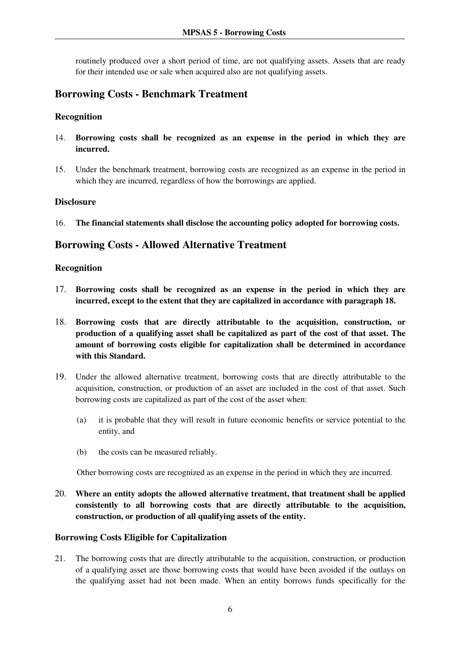routinely produced over a short period of time, are not qualifying assets. Assets that are ready for their intended use or sale when acquired also are not qualifying assets.

## **Borrowing Costs - Benchmark Treatment**

#### **Recognition**

- 14. **Borrowing costs shall be recognized as an expense in the period in which they are incurred.**
- 15. Under the benchmark treatment, borrowing costs are recognized as an expense in the period in which they are incurred, regardless of how the borrowings are applied.

#### **Disclosure**

16. **The financial statements shall disclose the accounting policy adopted for borrowing costs.** 

## **Borrowing Costs - Allowed Alternative Treatment**

#### **Recognition**

- 17. **Borrowing costs shall be recognized as an expense in the period in which they are incurred, except to the extent that they are capitalized in accordance with paragraph 18.**
- 18. **Borrowing costs that are directly attributable to the acquisition, construction, or production of a qualifying asset shall be capitalized as part of the cost of that asset. The amount of borrowing costs eligible for capitalization shall be determined in accordance with this Standard.**
- 19. Under the allowed alternative treatment, borrowing costs that are directly attributable to the acquisition, construction, or production of an asset are included in the cost of that asset. Such borrowing costs are capitalized as part of the cost of the asset when:
	- (a) it is probable that they will result in future economic benefits or service potential to the entity, and
	- (b) the costs can be measured reliably.

Other borrowing costs are recognized as an expense in the period in which they are incurred.

20. **Where an entity adopts the allowed alternative treatment, that treatment shall be applied consistently to all borrowing costs that are directly attributable to the acquisition, construction, or production of all qualifying assets of the entity.**

#### **Borrowing Costs Eligible for Capitalization**

21. The borrowing costs that are directly attributable to the acquisition, construction, or production of a qualifying asset are those borrowing costs that would have been avoided if the outlays on the qualifying asset had not been made. When an entity borrows funds specifically for the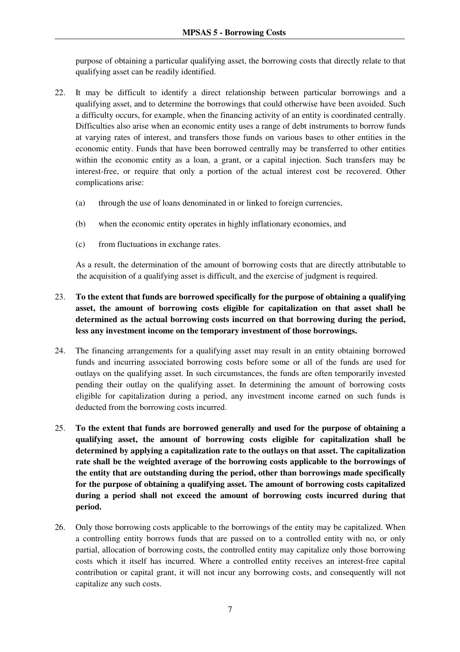purpose of obtaining a particular qualifying asset, the borrowing costs that directly relate to that qualifying asset can be readily identified.

- 22. It may be difficult to identify a direct relationship between particular borrowings and a qualifying asset, and to determine the borrowings that could otherwise have been avoided. Such a difficulty occurs, for example, when the financing activity of an entity is coordinated centrally. Difficulties also arise when an economic entity uses a range of debt instruments to borrow funds at varying rates of interest, and transfers those funds on various bases to other entities in the economic entity. Funds that have been borrowed centrally may be transferred to other entities within the economic entity as a loan, a grant, or a capital injection. Such transfers may be interest-free, or require that only a portion of the actual interest cost be recovered. Other complications arise:
	- (a) through the use of loans denominated in or linked to foreign currencies,
	- (b) when the economic entity operates in highly inflationary economies, and
	- (c) from fluctuations in exchange rates.

As a result, the determination of the amount of borrowing costs that are directly attributable to the acquisition of a qualifying asset is difficult, and the exercise of judgment is required.

- 23. **To the extent that funds are borrowed specifically for the purpose of obtaining a qualifying asset, the amount of borrowing costs eligible for capitalization on that asset shall be determined as the actual borrowing costs incurred on that borrowing during the period, less any investment income on the temporary investment of those borrowings.**
- 24. The financing arrangements for a qualifying asset may result in an entity obtaining borrowed funds and incurring associated borrowing costs before some or all of the funds are used for outlays on the qualifying asset. In such circumstances, the funds are often temporarily invested pending their outlay on the qualifying asset. In determining the amount of borrowing costs eligible for capitalization during a period, any investment income earned on such funds is deducted from the borrowing costs incurred.
- 25. **To the extent that funds are borrowed generally and used for the purpose of obtaining a qualifying asset, the amount of borrowing costs eligible for capitalization shall be determined by applying a capitalization rate to the outlays on that asset. The capitalization rate shall be the weighted average of the borrowing costs applicable to the borrowings of the entity that are outstanding during the period, other than borrowings made specifically for the purpose of obtaining a qualifying asset. The amount of borrowing costs capitalized during a period shall not exceed the amount of borrowing costs incurred during that period.**
- 26. Only those borrowing costs applicable to the borrowings of the entity may be capitalized. When a controlling entity borrows funds that are passed on to a controlled entity with no, or only partial, allocation of borrowing costs, the controlled entity may capitalize only those borrowing costs which it itself has incurred. Where a controlled entity receives an interest-free capital contribution or capital grant, it will not incur any borrowing costs, and consequently will not capitalize any such costs.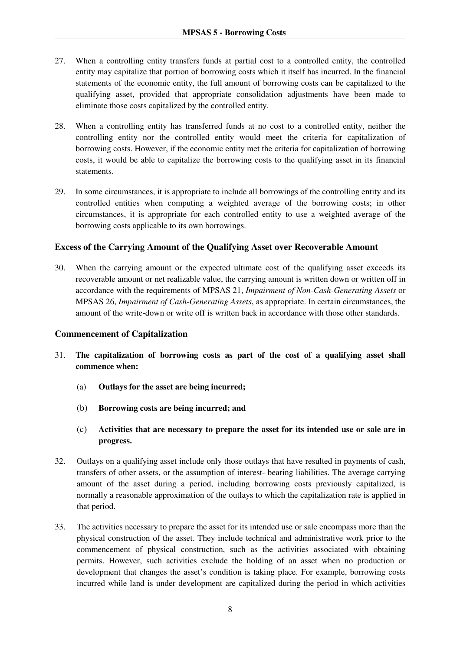- 27. When a controlling entity transfers funds at partial cost to a controlled entity, the controlled entity may capitalize that portion of borrowing costs which it itself has incurred. In the financial statements of the economic entity, the full amount of borrowing costs can be capitalized to the qualifying asset, provided that appropriate consolidation adjustments have been made to eliminate those costs capitalized by the controlled entity.
- 28. When a controlling entity has transferred funds at no cost to a controlled entity, neither the controlling entity nor the controlled entity would meet the criteria for capitalization of borrowing costs. However, if the economic entity met the criteria for capitalization of borrowing costs, it would be able to capitalize the borrowing costs to the qualifying asset in its financial statements.
- 29. In some circumstances, it is appropriate to include all borrowings of the controlling entity and its controlled entities when computing a weighted average of the borrowing costs; in other circumstances, it is appropriate for each controlled entity to use a weighted average of the borrowing costs applicable to its own borrowings.

#### **Excess of the Carrying Amount of the Qualifying Asset over Recoverable Amount**

30. When the carrying amount or the expected ultimate cost of the qualifying asset exceeds its recoverable amount or net realizable value, the carrying amount is written down or written off in accordance with the requirements of MPSAS 21, *Impairment of Non-Cash-Generating Assets* or MPSAS 26, *Impairment of Cash-Generating Assets*, as appropriate. In certain circumstances, the amount of the write-down or write off is written back in accordance with those other standards.

#### **Commencement of Capitalization**

- 31. **The capitalization of borrowing costs as part of the cost of a qualifying asset shall commence when:** 
	- (a) **Outlays for the asset are being incurred;**
	- (b) **Borrowing costs are being incurred; and**
	- (c) **Activities that are necessary to prepare the asset for its intended use or sale are in progress.**
- 32. Outlays on a qualifying asset include only those outlays that have resulted in payments of cash, transfers of other assets, or the assumption of interest- bearing liabilities. The average carrying amount of the asset during a period, including borrowing costs previously capitalized, is normally a reasonable approximation of the outlays to which the capitalization rate is applied in that period.
- 33. The activities necessary to prepare the asset for its intended use or sale encompass more than the physical construction of the asset. They include technical and administrative work prior to the commencement of physical construction, such as the activities associated with obtaining permits. However, such activities exclude the holding of an asset when no production or development that changes the asset's condition is taking place. For example, borrowing costs incurred while land is under development are capitalized during the period in which activities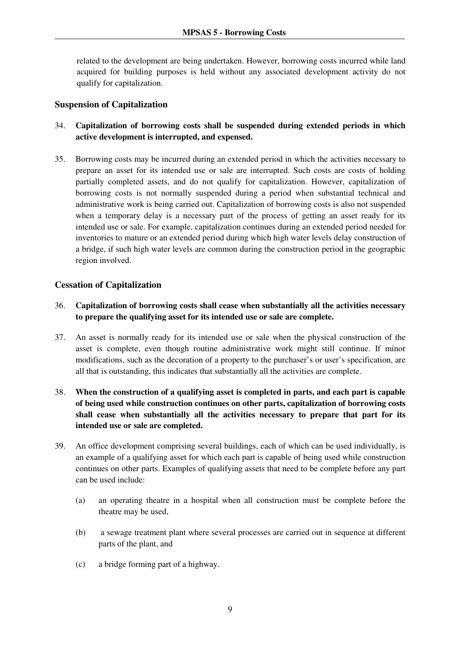related to the development are being undertaken. However, borrowing costs incurred while land acquired for building purposes is held without any associated development activity do not qualify for capitalization.

#### **Suspension of Capitalization**

- 34. **Capitalization of borrowing costs shall be suspended during extended periods in which active development is interrupted, and expensed.**
- 35. Borrowing costs may be incurred during an extended period in which the activities necessary to prepare an asset for its intended use or sale are interrupted. Such costs are costs of holding partially completed assets, and do not qualify for capitalization. However, capitalization of borrowing costs is not normally suspended during a period when substantial technical and administrative work is being carried out. Capitalization of borrowing costs is also not suspended when a temporary delay is a necessary part of the process of getting an asset ready for its intended use or sale. For example, capitalization continues during an extended period needed for inventories to mature or an extended period during which high water levels delay construction of a bridge, if such high water levels are common during the construction period in the geographic region involved.

#### **Cessation of Capitalization**

- 36. **Capitalization of borrowing costs shall cease when substantially all the activities necessary to prepare the qualifying asset for its intended use or sale are complete.**
- 37. An asset is normally ready for its intended use or sale when the physical construction of the asset is complete, even though routine administrative work might still continue. If minor modifications, such as the decoration of a property to the purchaser's or user's specification, are all that is outstanding, this indicates that substantially all the activities are complete.
- 38. **When the construction of a qualifying asset is completed in parts, and each part is capable of being used while construction continues on other parts, capitalization of borrowing costs shall cease when substantially all the activities necessary to prepare that part for its intended use or sale are completed.**
- 39. An office development comprising several buildings, each of which can be used individually, is an example of a qualifying asset for which each part is capable of being used while construction continues on other parts. Examples of qualifying assets that need to be complete before any part can be used include:
	- (a) an operating theatre in a hospital when all construction must be complete before the theatre may be used,
	- (b) a sewage treatment plant where several processes are carried out in sequence at different parts of the plant, and
	- (c) a bridge forming part of a highway.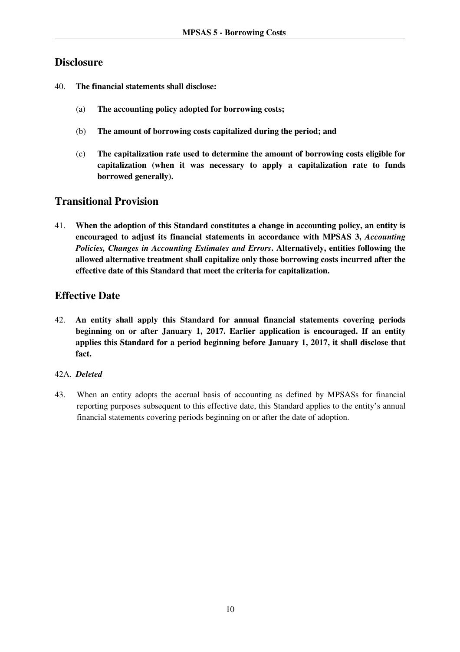## **Disclosure**

- 40. **The financial statements shall disclose:** 
	- (a) **The accounting policy adopted for borrowing costs;**
	- (b) **The amount of borrowing costs capitalized during the period; and**
	- (c) **The capitalization rate used to determine the amount of borrowing costs eligible for capitalization (when it was necessary to apply a capitalization rate to funds borrowed generally).**

## **Transitional Provision**

41. **When the adoption of this Standard constitutes a change in accounting policy, an entity is encouraged to adjust its financial statements in accordance with MPSAS 3,** *Accounting Policies, Changes in Accounting Estimates and Errors***. Alternatively, entities following the allowed alternative treatment shall capitalize only those borrowing costs incurred after the effective date of this Standard that meet the criteria for capitalization.** 

## **Effective Date**

42. **An entity shall apply this Standard for annual financial statements covering periods beginning on or after January 1, 2017. Earlier application is encouraged. If an entity applies this Standard for a period beginning before January 1, 2017, it shall disclose that fact.** 

#### 42A. *Deleted*

43. When an entity adopts the accrual basis of accounting as defined by MPSASs for financial reporting purposes subsequent to this effective date, this Standard applies to the entity's annual financial statements covering periods beginning on or after the date of adoption.